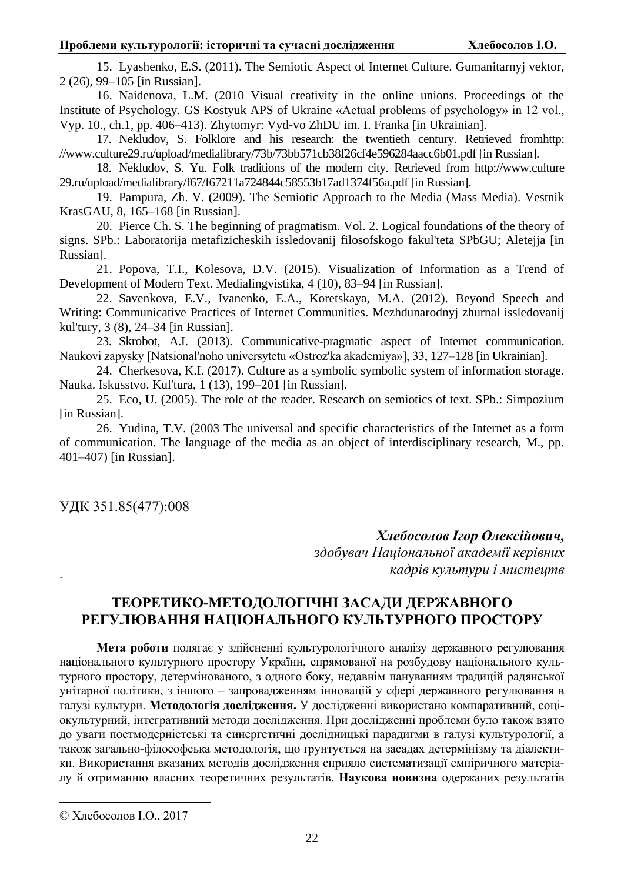15. Lyashenko, E.S. (2011). The Semiotic Aspect of Internet Culture. Gumanitarnyj vektor, 2 (26), 99–105 [in Russian].

16. Naidenova, L.M. (2010 Visual creativity in the online unions. Proceedings of the Institute of Psychology. GS Kostyuk APS of Ukraine «Actual problems of psychology» in 12 vol., Vyp. 10., ch.1, pp. 406–413). Zhytomyr: Vyd-vo ZhDU im. I. Franka [in Ukrainian].

17. Nekludov, S. Folklore and his research: the twentieth century. Retrieved fromhttp: //www.culture29.ru/upload/medialibrary/73b/73bb571cb38f26cf4e596284aacc6b01.pdf [in Russian].

18. Nekludov, S. Yu. Folk traditions of the modern city. Retrieved from http://www.culture 29.ru/upload/medialibrary/f67/f67211a724844c58553b17ad1374f56a.pdf [in Russian].

19. Pampura, Zh. V. (2009). The Semiotic Approach to the Media (Mass Media). Vestnik KrasGAU, 8, 165–168 [in Russian].

20. Pierce Ch. S. The beginning of pragmatism. Vol. 2. Logical foundations of the theory of signs. SPb.: Laboratorija metafizicheskih issledovanij filosofskogo fakul'teta SPbGU; Aletejja [in Russian].

21. Popova, T.I., Kolesova, D.V. (2015). Visualization of Information as a Trend of Development of Modern Text. Medialingvistika, 4 (10), 83–94 [in Russian].

22. Savenkova, E.V., Ivanenko, E.A., Koretskaya, M.A. (2012). Beyond Speech and Writing: Communicative Practices of Internet Communities. Mezhdunarodnyj zhurnal issledovanij kul'tury, 3 (8), 24–34 [in Russian].

23. Skrobot, A.I. (2013). Communicative-pragmatic aspect of Internet communication. Naukovi zapysky [Natsional'noho universytetu «Ostroz'ka akademiya»], 33, 127–128 [in Ukrainian].

24. Cherkesova, K.I. (2017). Culture as a symbolic symbolic system of information storage. Nauka. Iskusstvo. Kul'tura, 1 (13), 199–201 [in Russian].

25. Eco, U. (2005). The role of the reader. Research on semiotics of text. SPb.: Simpozium [in Russian].

26. Yudina, T.V. (2003 The universal and specific characteristics of the Internet as a form of communication. The language of the media as an object of interdisciplinary research, M., pp. 401–407) [in Russian].

ɍȾɄ 351.85(477):008

 $X$ лебосолов Ігор Олексійович,

здобувач Національної академії керівних **кадрів культури і мистецтв** 

# ТЕОРЕТИКО-МЕТОДОЛОГІЧНІ ЗАСАДИ ДЕРЖАВНОГО РЕГУЛЮВАННЯ НАЦІОНАЛЬНОГО КУЛЬТУРНОГО ПРОСТОРУ

Мета роботи полягає у здійсненні культурологічного аналізу державного регулювання національного культурного простору України, спрямованої на розбудову національного культурного простору, детермінованого, з одного боку, недавнім пануванням традицій радянської унітарної політики, з іншого – запровадженням інновацій у сфері державного регулювання в галузі культури. Методологія дослідження. У дослідженні використано компаративний, соціокультурний, інтегративний методи дослідження. При дослідженні проблеми було також взято до уваги постмодерністські та синергетичні дослідницькі парадигми в галузі культурології, а також загально-філософська методологія, що ґрунтується на засадах детермінізму та діалектики. Використання вказаних методів дослідження сприяло систематизації емпіричного матеріалу й отриманню власних теоретичних результатів. Наукова новизна одержаних результатів

 $\overline{a}$ 

<sup>©</sup> Хлебосолов I.O., 2017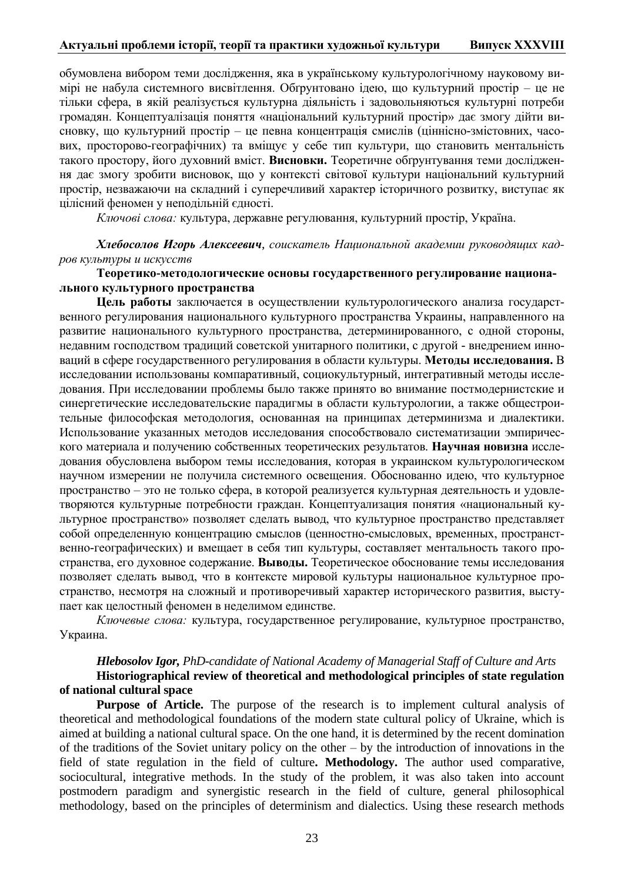обумовлена вибором теми дослідження, яка в українському культурологічному науковому вимірі не набула системного висвітлення. Обтрунтовано ідею, що культурний простір – це не тільки сфера, в якій реалізується культурна ліяльність і задовольняються культурні потреби громадян. Концептуалізація поняття «національний культурний простір» дає змогу дійти висновку, що культурний простір – це певна концентрація смислів (ціннісно-змістовних, часових, просторово-географічних) та вміщує у себе тип культури, що становить ментальність такого простору, його духовний вміст. Висновки. Теоретичне обґрунтування теми дослідження дає змогу зробити висновок, що у контексті світової культури національний культурний простір, незважаючи на складний і суперечливий характер історичного розвитку, виступає як цілісний феномен у неподільній єдності.

Ключові слова: культура, державне регулювання, культурний простір, Україна.

**Хлебосолов Игорь Алексеевич**, соискатель Национальной академии руководящих кад $po$ в культуры и искусств

### **Teopeтико-методологические основы государственного регулирование национа-ЛЬНОГО КУЛЬТУРНОГО ПРОСТРАНСТВА**

**Цель работы** заключается в осуществлении культурологического анализа государственного регулирования национального культурного пространства Украины, направленного на развитие национального культурного пространства, детерминированного, с одной стороны, недавним господством традиций советской унитарного политики, с другой - внедрением инноваций в сфере государственного регулирования в области культуры. Методы исследования. В исследовании использованы компаративный, социокультурный, интегративный методы исследования. При исследовании проблемы было также принято во внимание постмодернистские и синергетические исследовательские парадигмы в области культурологии, а также общестроительные философская методология, основанная на принципах детерминизма и диалектики. Использование указанных методов исследования способствовало систематизации эмпирического материала и получению собственных теоретических результатов. Научная новизна исследования обусловлена выбором темы исследования, которая в украинском культурологическом научном измерении не получила системного освещения. Обоснованно идею, что культурное пространство – это не только сфера, в которой реализуется культурная деятельность и удовлетворяются культурные потребности граждан. Концептуализация понятия «национальный культурное пространство» позволяет сделать вывод, что культурное пространство представляет собой определенную концентрацию смыслов (ценностно-смысловых, временных, пространственно-географических) и вмещает в себя тип культуры, составляет ментальность такого пространства, его духовное содержание. Выводы. Теоретическое обоснование темы исследования позволяет сделать вывод, что в контексте мировой культуры национальное культурное пространство, несмотря на сложный и противоречивый характер исторического развития, выступает как целостный феномен в неделимом единстве.

Ключевые слова: культура, государственное регулирование, культурное пространство, Украина.

# *Hlebosolov Igor, PhD-candidate of National Academy of Managerial Staff of Culture and Arts*

# **Historiographical review of theoretical and methodological principles of state regulation of national cultural space**

**Purpose of Article.** The purpose of the research is to implement cultural analysis of theoretical and methodological foundations of the modern state cultural policy of Ukraine, which is aimed at building a national cultural space. On the one hand, it is determined by the recent domination of the traditions of the Soviet unitary policy on the other – by the introduction of innovations in the field of state regulation in the field of culture**. Methodology.** The author used comparative, sociocultural, integrative methods. In the study of the problem, it was also taken into account postmodern paradigm and synergistic research in the field of culture, general philosophical methodology, based on the principles of determinism and dialectics. Using these research methods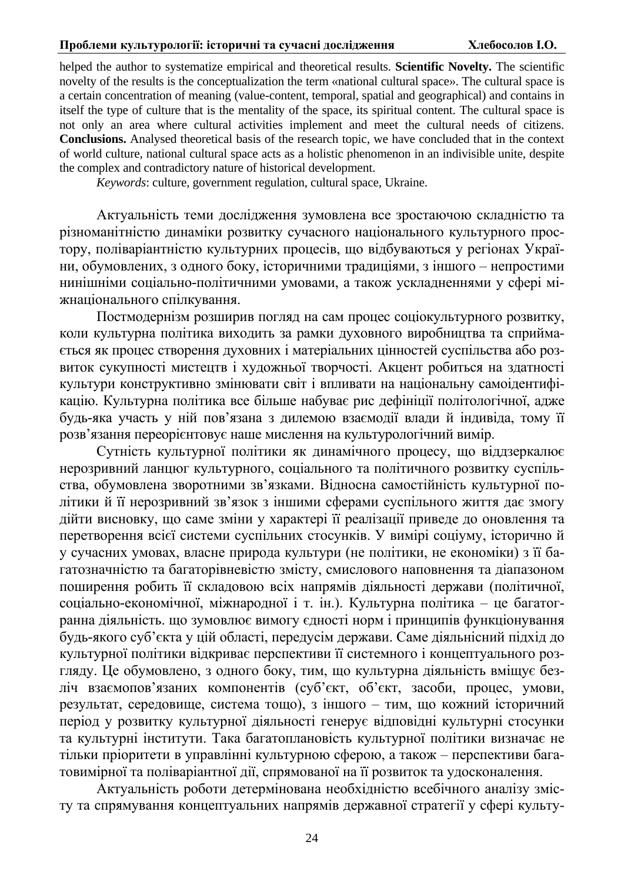#### Проблеми культурології: історичні та сучасні дослідження Хлебосолов I.О.

helped the author to systematize empirical and theoretical results. **Scientific Novelty.** The scientific novelty of the results is the conceptualization the term «national cultural space». The cultural space is a certain concentration of meaning (value-content, temporal, spatial and geographical) and contains in itself the type of culture that is the mentality of the space, its spiritual content. The cultural space is not only an area where cultural activities implement and meet the cultural needs of citizens. **Conclusions.** Analysed theoretical basis of the research topic, we have concluded that in the context of world culture, national cultural space acts as a holistic phenomenon in an indivisible unite, despite the complex and contradictory nature of historical development.

*Keywords*: culture, government regulation, cultural space, Ukraine.

Актуальність теми дослідження зумовлена все зростаючою складністю та різноманітністю динаміки розвитку сучасного національного культурного простору, поліваріантністю культурних процесів, що відбуваються у регіонах України, обумовлених, з одного боку, історичними традиціями, з іншого – непростими нинішніми соціально-політичними умовами, а також ускладненнями у сфері міжнаціонального спілкування.

Постмодернізм розширив погляд на сам процес соціокультурного розвитку, коли культурна політика виходить за рамки духовного виробництва та сприймається як процес створення духовних і матеріальних цінностей суспільства або розвиток сукупності мистецтв і художньої творчості. Акцент робиться на здатності культури конструктивно змінювати світ і впливати на національну самоідентифікацію. Культурна політика все більше набуває рис дефініції політологічної, адже будь-яка участь у ній пов'язана з дилемою взаємодії влади й індивіда, тому її розв'язання переорієнтовує наше мислення на культурологічний вимір.

Сутність культурної політики як динамічного процесу, що віддзеркалює нерозривний ланцюг культурного, соціального та політичного розвитку суспільства, обумовлена зворотними зв'язками. Відносна самостійність культурної політики й її нерозривний зв'язок з іншими сферами суспільного життя дає змогу дійти висновку, що саме зміни у характері її реалізації приведе до оновлення та перетворення всієї системи суспільних стосунків. У вимірі соціуму, історично й у сучасних умовах, власне природа культури (не політики, не економіки) з її багатозначністю та багаторівневістю змісту, смислового наповнення та діапазоном поширення робить її складовою всіх напрямів діяльності держави (політичної, соціально-економічної, міжнародної і т. ін.). Культурна політика – це багатогранна діяльність. що зумовлює вимогу єдності норм і принципів функціонування будь-якого суб'єкта у цій області, передусім держави. Саме діяльнісний підхід до культурної політики відкриває перспективи її системного і концептуального розгляду. Це обумовлено, з одного боку, тим, що культурна діяльність вміщує безліч взаємопов'язаних компонентів (суб'єкт, об'єкт, засоби, процес, умови, результат, середовище, система тощо), з іншого – тим, що кожний історичний період у розвитку культурної діяльності генерує відповідні культурні стосунки та культурні інститути. Така багатоплановість культурної політики визначає не тільки пріоритети в управлінні культурною сферою, а також – перспективи багатовимірної та поліваріантної дії, спрямованої на її розвиток та удосконалення.

Актуальність роботи детермінована необхідністю всебічного аналізу змісту та спрямування концептуальних напрямів державної стратегії у сфері культу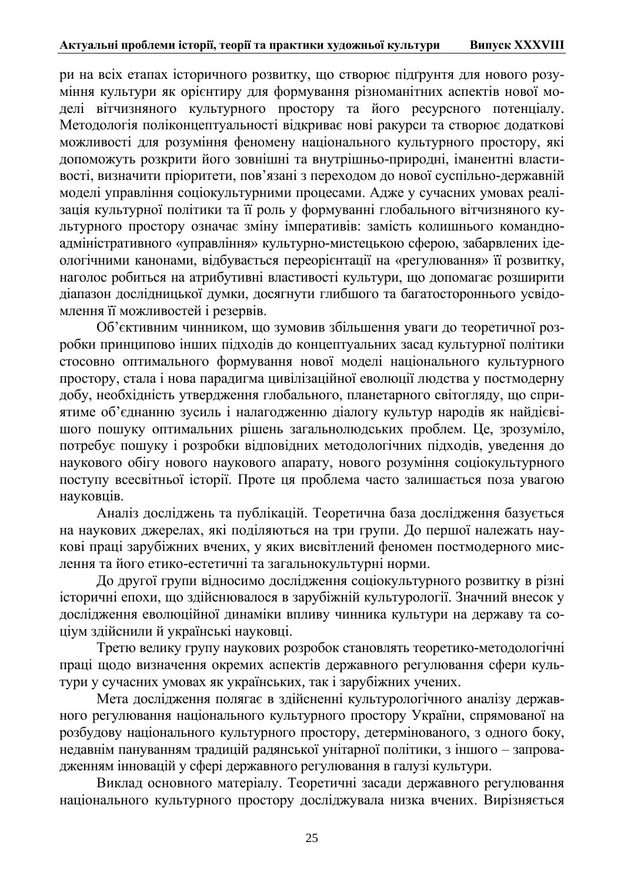ри на всіх етапах історичного розвитку, що створює підґрунтя для нового розуиння культури як орієнтиру для формування різноманітних аспектів нової моделі вітчизняного культурного простору та його ресурсного потенціалу. Методологія поліконцептуальності відкриває нові ракурси та створює додаткові можливості для розуміння феномену національного культурного простору, які допоможуть розкрити його зовнішні та внутрішньо-природні, іманентні властивості, визначити пріоритети, пов'язані з переходом до нової суспільно-державній моделі управління соціокультурними процесами. Адже у сучасних умовах реалізація культурної політики та її роль у формуванні глобального вітчизняного культурного простору означає зміну імперативів: замість колишнього командноадміністративного «управління» культурно-мистецькою сферою, забарвлених ідеологічними канонами, відбувається переорієнтації на «регулювання» її розвитку, наголос робиться на атрибутивні властивості культури, що допомагає розширити діапазон дослідницької думки, досягнути глибшого та багатостороннього усвідомлення її можливостей і резервів.

Об'єктивним чинником, що зумовив збільшення уваги до теоретичної розробки принципово інших підходів до концептуальних засад культурної політики стосовно оптимального формування нової моделі національного культурного простору, стала і нова парадигма цивілізаційної еволюції людства у постмодерну добу, необхідність утвердження глобального, планетарного світогляду, що сприятиме об'єднанню зусиль і налагодженню діалогу культур народів як найдієвішого пошуку оптимальних рішень загальнолюдських проблем. Це, зрозуміло, потребує пошуку і розробки відповідних методологічних підходів, уведення до наукового обігу нового наукового апарату, нового розуміння соціокультурного поступу всесвітньої історії. Проте ця проблема часто залишається поза увагою науковців.

Аналіз досліджень та публікацій. Теоретична база дослідження базується на наукових джерелах, які поділяються на три групи. До першої належать наукові праці зарубіжних вчених, у яких висвітлений феномен постмодерного мислення та його етико-естетичні та загальнокультурні норми.

До другої групи відносимо дослідження соціокультурного розвитку в різні історичні епохи, що здійснювалося в зарубіжній культурології. Значний внесок у дослідження еволюційної динаміки впливу чинника культури на державу та соціум здійснили й українські науковці.

Третю велику групу наукових розробок становлять теоретико-методологічні праці щодо визначення окремих аспектів державного регулювання сфери культури у сучасних умовах як українських, так і зарубіжних учених.

Мета дослідження полягає в здійсненні культурологічного аналізу державного регулювання національного культурного простору України, спрямованої на розбудову національного культурного простору, детермінованого, з одного боку, недавнім пануванням традицій радянської унітарної політики, з іншого - запровадженням інновацій у сфері державного регулювання в галузі культури.

Виклад основного матеріалу. Теоретичні засади державного регулювання національного культурного простору досліджувала низка вчених. Вирізняється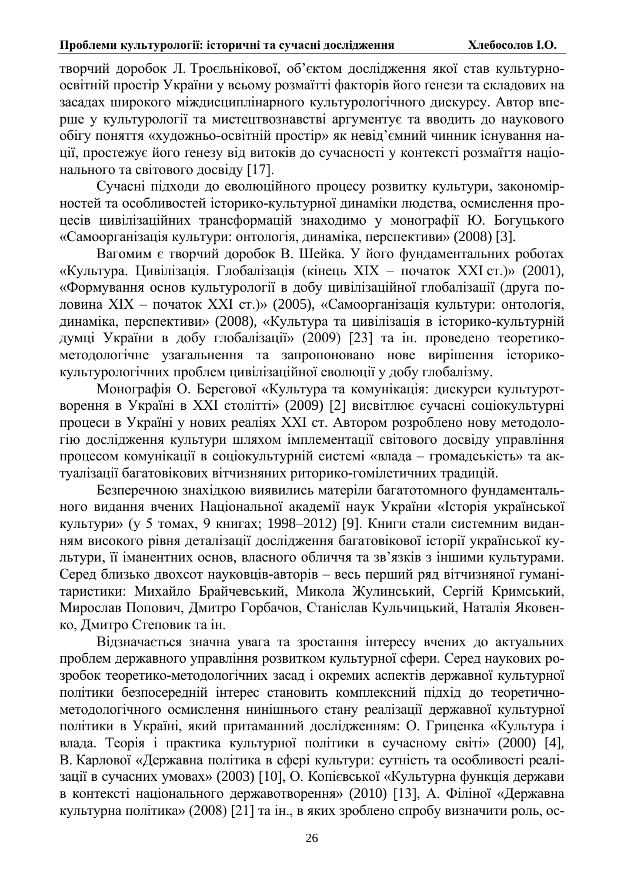творчий доробок Л. Троєльнікової, об'єктом дослідження якої став культурноосвітній простір України у всьому розмаїтті факторів його ґенези та складових на засадах широкого міждисциплінарного культурологічного дискурсу. Автор вперше у культурології та мистецтвознавстві аргументує та вводить до наукового обігу поняття «художньо-освітній простір» як невід'ємний чинник існування нації, простежує його ґенезу від витоків до сучасності у контексті розмаїття національного та світового досвіду [17].

Сучасні підходи до еволюційного процесу розвитку культури, закономірностей та особливостей історико-культурної динаміки людства, осмислення процесів цивілізаційних трансформацій знаходимо у монографії Ю. Богуцького «Самоорганізація культури: онтологія, динаміка, перспективи» (2008) [3].

Вагомим є творчий доробок В. Шейка. У його фундаментальних роботах «Культура. Цивілізація. Глобалізація (кінець XIX – початок XXI ст.)» (2001), «Формування основ культурології в добу цивілізаційної глобалізації (друга половина XIX – початок XXI ст.)» (2005), «Самоорганізація культури: онтологія, динаміка, перспективи» (2008), «Культура та цивілізація в історико-культурній думці України в добу глобалізації» (2009) [23] та ін. проведено теоретикометодологічне узагальнення та запропоновано нове вирішення історикокультурологічних проблем цивілізаційної еволюції у добу глобалізму.

Монографія О. Берегової «Культура та комунікація: дискурси культуротворення в Україні в XXI столітті» (2009) [2] висвітлює сучасні соціокультурні процеси в Україні у нових реаліях XXI ст. Автором розроблено нову методологію дослідження культури шляхом імплементації світового досвіду управління процесом комунікації в соціокультурній системі «влада – громадськість» та актуалізації багатовікових вітчизняних риторико-гомілетичних традицій.

Безперечною знахідкою виявились матеріли багатотомного фундаментального видання вчених Національної академії наук України «Історія української культури» (у 5 томах, 9 книгах; 1998–2012) [9]. Книги стали системним виданням високого рівня деталізації дослідження багатовікової історії української культури, її іманентних основ, власного обличчя та зв'язків з іншими культурами. Серед близько двохсот науковців-авторів - весь перший ряд вітчизняної гуманітаристики: Михайло Брайчевський, Микола Жулинський, Сергій Кримський, Мирослав Попович, Дмитро Горбачов, Станіслав Кульчицький, Наталія Яковенко. Лмитро Степовик та ін.

Відзначається значна увага та зростання інтересу вчених до актуальних проблем державного управління розвитком культурної сфери. Серед наукових розробок теоретико-методологічних засад і окремих аспектів державної культурної політики безпосередній інтерес становить комплексний підхід до теоретичнометодологічного осмислення нинішнього стану реалізації державної культурної політики в Україні, який притаманний дослідженням: О. Гриценка «Культура і влада. Теорія і практика культурної політики в сучасному світі» (2000) [4], В. Карлової «Державна політика в сфері культури: сутність та особливості реалізації в сучасних умовах» (2003) [10], О. Копієвської «Культурна функція держави в контексті національного державотворення» (2010) [13], А. Філіної «Державна культурна політика» (2008) [21] та ін., в яких зроблено спробу визначити роль, ос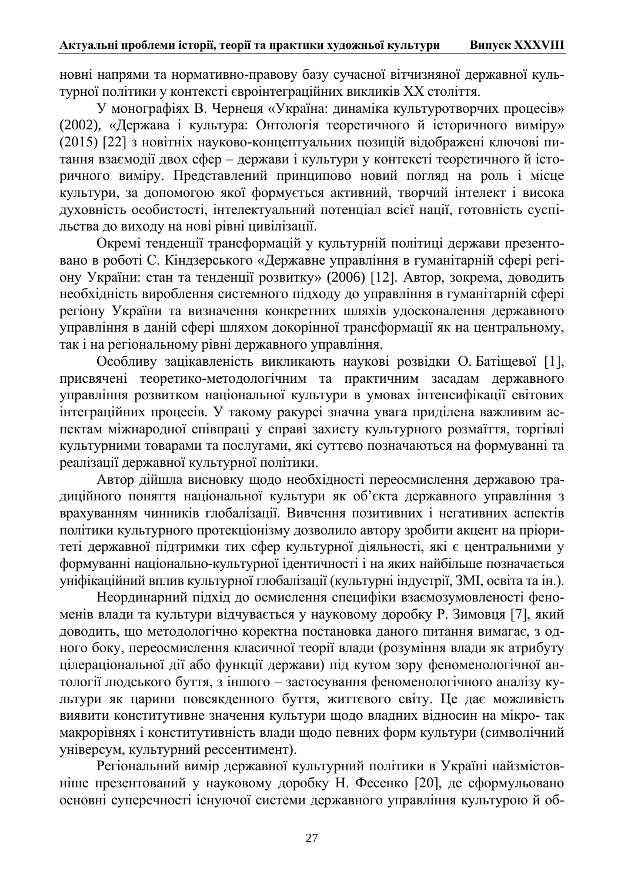новні напрями та нормативно-правову базу сучасної вітчизняної державної культурної політики у контексті євроінтеграційних викликів XX століття.

У монографіях В. Чернеця «Україна: динаміка культуротворчих процесів» (2002), «Держава і культура: Онтологія теоретичного й історичного виміру» (2015) [22] з новітніх науково-концептуальних позицій відображені ключові питання взаємодії двох сфер – держави і культури у контексті теоретичного й історичного виміру. Представлений принципово новий погляд на роль і місце культури, за допомогою якої формується активний, творчий інтелект і висока духовність особистості, інтелектуальний потенціал всієї нації, готовність суспільства до виходу на нові рівні цивілізації.

Окремі тенденції трансформацій у культурній політиці держави презентовано в роботі С. Кіндзерського «Державне управління в гуманітарній сфері регіону України: стан та тенденції розвитку» (2006) [12]. Автор, зокрема, доводить необхідність вироблення системного підходу до управління в гуманітарній сфері регіону України та визначення конкретних шляхів удосконалення державного управління в даній сфері шляхом докорінної трансформації як на центральному, так і на регіональному рівні державного управління.

Особливу зацікавленість викликають наукові розвідки О. Батіщевої [1], присвячені теоретико-методологічним та практичним засадам державного vправління розвитком національної культури в умовах інтенсифікації світових інтеграційних процесів. У такому ракурсі значна увага приділена важливим аспектам міжнародної співпраці у справі захисту культурного розмаїття, торгівлі культурними товарами та послугами, які суттєво позначаються на формуванні та реалізації державної культурної політики.

Автор дійшла висновку щодо необхідності переосмислення державою традиційного поняття національної культури як об'єкта державного управління з врахуванням чинників глобалізації. Вивчення позитивних і негативних аспектів політики культурного протекціонізму дозволило автору зробити акцент на пріоритеті державної підтримки тих сфер культурної діяльності, які є центральними у формуванні національно-культурної ідентичності і на яких найбільше позначається уніфікаційний вплив культурної глобалізації (культурні індустрії, ЗМІ, освіта та ін.).

Неординарний підхід до осмислення специфіки взаємозумовленості феноменів влади та культури відчувається у науковому доробку Р. Зимовця [7], який доводить, що методологічно коректна постановка даного питання вимагає, з одного боку, переосмислення класичної теорії влади (розуміння влади як атрибуту цілераціональної дії або функції держави) під кутом зору феноменологічної антології людського буття, з іншого – застосування феноменологічного аналізу культури як царини повсякденного буття, життєвого світу. Це дає можливість виявити конститутивне значення культури щодо владних відносин на мікро- так макрорівнях і конститутивність влади щодо певних форм культури (символічний універсум, культурний рессентимент).

Регіональний вимір державної культурний політики в Україні найзмістовніше презентований у науковому доробку Н. Фесенко [20], де сформульовано основні суперечності існуючої системи державного управління культурою й об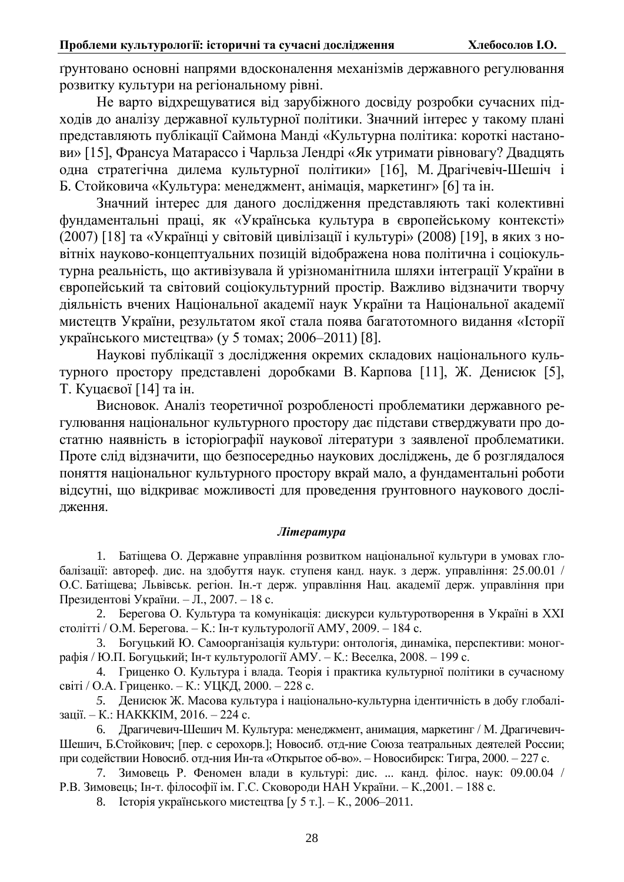грунтовано основні напрями вдосконалення механізмів державного регулювання розвитку культури на регіональному рівні.

Не варто відхрещуватися від зарубіжного досвіду розробки сучасних підходів до аналізу державної культурної політики. Значний інтерес у такому плані представляють публікації Саймона Манді «Культурна політика: короткі настанови» [15], Франсуа Матарассо і Чарльза Лендрі «Як утримати рівновагу? Двадцять одна стратегічна дилема культурної політики» [16], М. Драгічевіч-Шешіч і Б. Стойковича «Культура: менеджмент, анімація, маркетинг» [6] та ін.

Значний інтерес для даного дослідження представляють такі колективні фундаментальні праці, як «Українська культура в європейському контексті» (2007) [18] та «Українці у світовій цивілізації і культурі» (2008) [19], в яких з новітніх науково-концептуальних позицій відображена нова політична і соціокультурна реальність, що активізувала й урізноманітнила шляхи інтеграції України в європейський та світовий соціокультурний простір. Важливо відзначити творчу діяльність вчених Національної академії наук України та Національної академії мистецтв України, результатом якої стала поява багатотомного видання «Історії українського мистептва» (у 5 томах: 2006–2011) [8].

Наукові публікації з дослідження окремих складових національного культурного простору представлені доробками В. Карпова [11], Ж. Денисюк [5], Т. Куцаєвої [14] та ін.

Висновок. Аналіз теоретичної розробленості проблематики державного регулювання національног культурного простору дає підстави стверджувати про достатню наявність в історіографії наукової літератури з заявленої проблематики. Проте слід відзначити, що безпосередньо наукових досліджень, де б розглядалося поняття національног культурного простору вкрай мало, а фундаментальні роботи відсутні, що відкриває можливості для проведення ґрунтовного наукового дослідження.

# $J$ *imepamypa*

1. Батіщева О. Державне управління розвитком національної культури в умовах глобалізації: автореф. дис. на здобуття наук. ступеня канд. наук. з держ. управління: 25.00.01 / О.С. Батіщева; Львівськ. регіон. Ін.-т держ. управління Нац. академії держ. управління при Президентові України. – Л., 2007. – 18 с.

2. Берегова О. Культура та комунікація: дискурси культуротворення в Україні в XXI столітті / О.М. Берегова. – К.: Ін-т культурології АМУ, 2009. – 184 с.

3. Богуцький Ю. Самоорганізація культури: онтологія, динаміка, перспективи: монографія / Ю.П. Богуцький; Ін-т культурології АМУ. – К.: Веселка, 2008. – 199 с.

4. Гриценко О. Культура і влада. Теорія і практика культурної політики в сучасному світі / О.А. Гриценко. – К.: УЦКД, 2000. – 228 с.

5. Денисюк Ж. Масова культура і національно-культурна ідентичність в добу глобалізації. – К.: НАКККІМ, 2016. – 224 с.

6. Драгичевич-Шешич М. Культура: менеджмент, анимация, маркетинг / М. Драгичевич-Шешич, Б.Стойкович; [пер. с серохорв.]; Новосиб. отд-ние Союза театральных деятелей России; при содействии Новосиб. отд-ния Ин-та «Открытое об-во». – Новосибирск: Тигра, 2000. – 227 с.

7. Зимовець Р. Феномен влади в культурі: дис. ... канд. філос. наук: 09.00.04 / Р.В. Зимовець; Ін-т. філософії ім. Г.С. Сковороди НАН України. – К.,2001. – 188 с.

8. Історія українського мистецтва [у 5 т.]. – К., 2006–2011.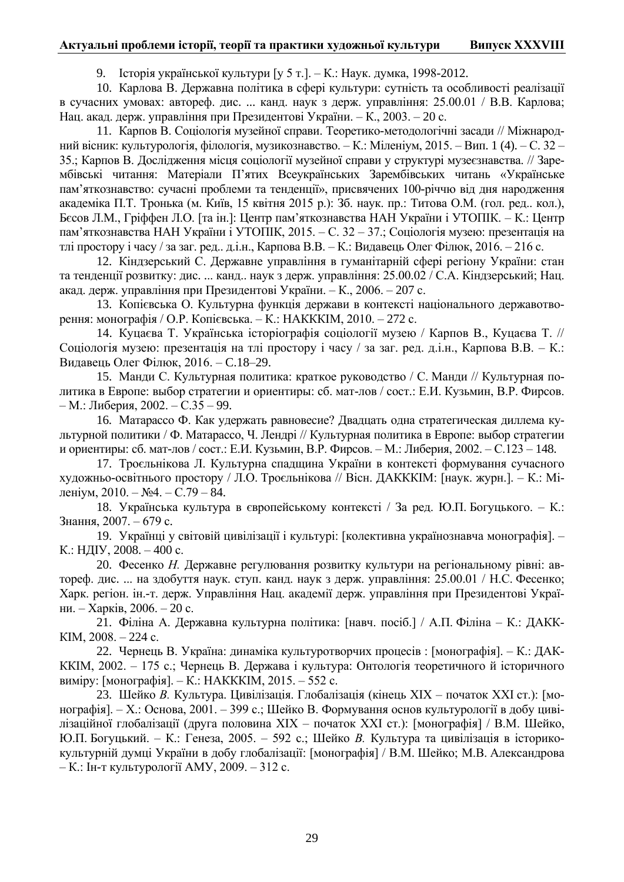#### **Актуальні проблеми історії, теорії та практики хуложньої культури Випуск XXXVIII**

9. Історія української культури [у 5 т.]. – К.: Наук. думка, 1998-2012.

10. Карлова В. Державна політика в сфері культури: сутність та особливості реалізації в сучасних умовах: автореф. лис. ... канд. наук з держ. управління: 25.00.01 / В.В. Карлова: Нац. акад. держ. управління при Президентові України. – К., 2003. – 20 с.

11. Карпов В. Соціологія музейної справи. Теоретико-методологічні засади // Міжнародний вісник: культурологія, філологія, музикознавство. – К.: Міленіум, 2015. – Вип. 1 (4). – С. 32 – 35.; Карпов В. Дослідження місця соціології музейної справи у структурі музеєзнавства. // Зарембівські читання: Матеріали П'ятих Всеукраїнських Зарембівських читань «Українське пам'яткознавство: сучасні проблеми та тенденції», присвячених 100-річчю від дня народження академіка П.Т. Тронька (м. Київ, 15 квітня 2015 р.): Зб. наук. пр.: Титова О.М. (гол. ред.. кол.), Бєсов Л.М., Гріффен Л.О. [та ін.]: Центр пам'яткознавства НАН України і УТОПІК. – К.: Центр пам'яткознавства НАН України і УТОПІК, 2015. – С. 32 – 37.; Соціологія музею: презентація на тлі простору і часу / за заг. ред.. д.і.н., Карпова В.В. – К.: Видавець Олег Філюк, 2016. – 216 с.

12. Кіндзерський С. Державне управління в гуманітарній сфері регіону України: стан та тенденції розвитку: дис. ... канд.. наук з держ. управління: 25.00.02 / С.А. Кіндзерський; Нац. акад. держ. управління при Президентові України. – К., 2006. – 207 с.

13. Копієвська О. Культурна функція держави в контексті національного державотворення: монографія / О.Р. Копієвська. – К.: НАКККІМ, 2010. – 272 с.

14. Куцаєва Т. Українська історіографія соціології музею / Карпов В., Куцаєва Т. // Соціологія музею: презентація на тлі простору і часу / за заг. ред. д.і.н., Карпова В.В. – К.: Видавець Олег Філюк, 2016. – С.18–29.

15. Манди С. Культурная политика: краткое руководство / С. Манди // Культурная политика в Европе: выбор стратегии и ориентиры: сб. мат-лов / сост.: Е.И. Кузьмин, В.Р. Фирсов. – М.: Либерия, 2002. – С.35 – 99.

16. Матарассо Ф. Как удержать равновесие? Двадцать одна стратегическая диллема культурной политики / Ф. Матарассо, Ч. Лендрі // Культурная политика в Европе: выбор стратегии и ориентиры: сб. мат-лов / сост.: Е.И. Кузьмин, В.Р. Фирсов. – М.: Либерия, 2002. – С.123 – 148.

17. Троєльнікова Л. Культурна спадщина України в контексті формування сучасного художньо-освітнього простору / Л.О. Троєльнікова // Вісн. ДАКККІМ: [наук. журн.]. – К.: Міленіум, 2010. – №4. – С.79 – 84.

18. Українська культура в європейському контексті / За ред. Ю.П. Богуцького. – К.: Знання, 2007. – 679 с.

19. Українці у світовій цивілізації і культурі: [колективна українознавча монографія]. – К.: НДГУ, 2008. – 400 с.

20. Фесенко *Н*. Державне регулювання розвитку культури на регіональному рівні: автореф. дис. ... на здобуття наук. ступ. канд. наук з держ. управління: 25.00.01 / Н.С. Фесенко; Харк. регіон. ін.-т. держ. Управління Нац. академії держ. управління при Президентові України. – Харків, 2006. – 20 с.

21. Філіна А. Державна культурна політика: [навч. посіб.] / А.П. Філіна – К.: ДАКК-KIM,  $2008. - 224$  c.

22. Чернець В. Україна: динаміка культуротворчих процесів : [монографія]. – К.: ДАК-ККІМ, 2002. – 175 с.; Чернець В. Держава і культура: Онтологія теоретичного й історичного виміру: [монографія]. – К.: НАКККІМ, 2015. – 552 с.

23. Шейко В. Культура. Цивілізація. Глобалізація (кінець XIX – початок XXI ст.): [монографія]. – Х.: Основа, 2001. – 399 с.; Шейко В. Формування основ культурології в добу цивілізаційної глобалізації (друга половина XIX – початок XXI ст.): [монографія] / В.М. Шейко, Ю.П. Богуцький. – К.: Генеза, 2005. – 592 с.; Шейко В. Культура та цивілізація в історикокультурній думці України в добу глобалізації: [монографія] / В.М. Шейко; М.В. Александрова – К.: Ін-т культурології АМУ, 2009. – 312 с.